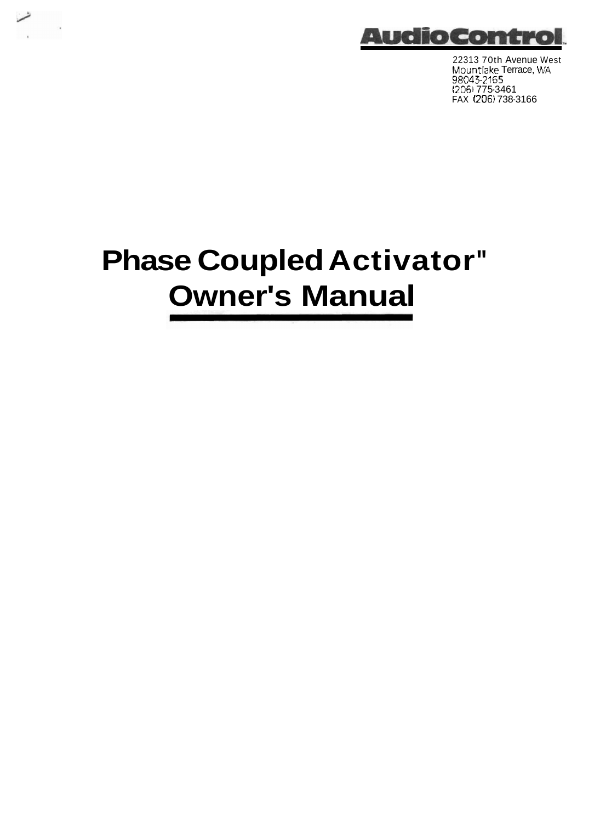

22313 70th Avenue West !dountlake Terrace, **WA**  98043-21 **55**  t2061 775-3461 FAX 1206) 738-3166

# **Phase Coupled Activator" Owner's Manual**

شما

 $\label{eq:1} \frac{1}{2} \sum_{i=1}^n \frac{1}{2} \sum_{j=1}^n \frac{1}{2} \sum_{j=1}^n \frac{1}{2} \sum_{j=1}^n \frac{1}{2} \sum_{j=1}^n \frac{1}{2} \sum_{j=1}^n \frac{1}{2} \sum_{j=1}^n \frac{1}{2} \sum_{j=1}^n \frac{1}{2} \sum_{j=1}^n \frac{1}{2} \sum_{j=1}^n \frac{1}{2} \sum_{j=1}^n \frac{1}{2} \sum_{j=1}^n \frac{1}{2} \sum_{j=1}^n \frac{1}{$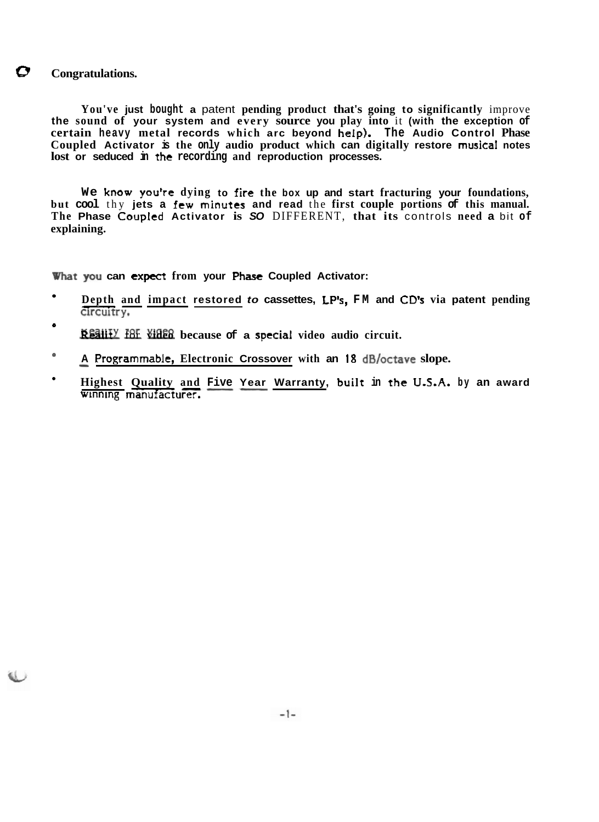## **8 Congratulations.**

**You've just bought a** patent **pending product that's going to significantly** improve **the sound of your system and every source you play into** it **(with the exception of certain heavy metal records which arc beyond help). The Audio Control Phase Coupled Activator is the only audio product which can digitally restore rnusicaf notes lost or seduced in** the **recording and reproduction processes.** 

**We know you're dying to fire the box up and start fracturing your foundations, but cool** thy **jets a few minutes and read** the **first couple portions of this manual. The Phase Coupled Activator is SO** DIFFERENT, **that its** controls **need a** bit **of explaining.** 

**What you can expect from your Phase Coupled Activator:** 

- **Depth** -- **and impact restored to cassettes, LP", FM and CD's via patent pending c1rcuttry.**
- \* Y-- **Realit** for **video because of a special video audio circuit.**
- A Programmable, Electronic Crossover with an 18 dB/octave slope.
- Highest Quality and Five Year Warranty, built in the U.S.A. by an award winning manufacturer.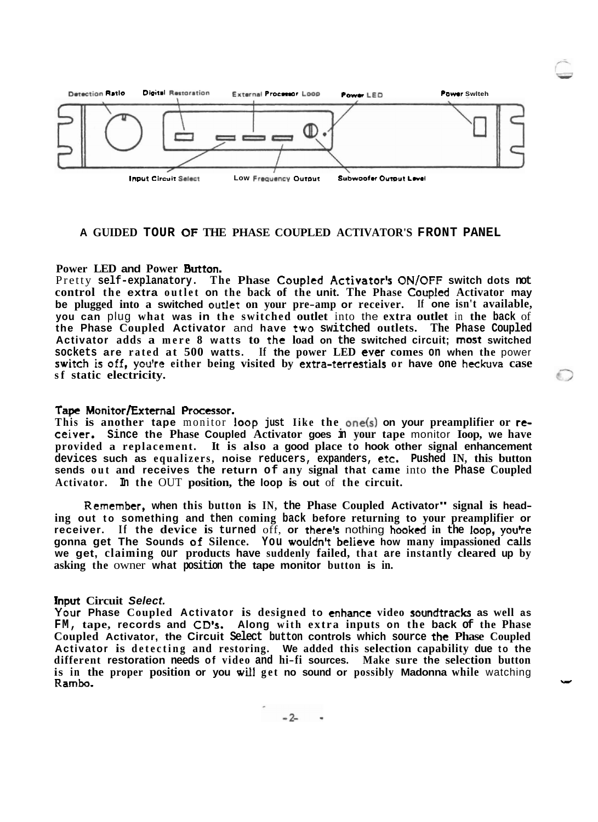

## **A GUIDED TOUR OF THE PHASE COUPLED ACTIVATOR'S FRONT PANEL**

## **Power LED and Power Button.**

Pretty **self-explanatory. The Phase Coupled Activator's ON/OFF switch dots not control the extra outlet on the back of the unit. The Phase Coupled Activator may be plugged into a switched outiet on your pre-amp or receiver. If one isn't available, you can** plug **what was in the switched outlet** into the **extra outlet** in **the back** of **the Phase Coupled Activator** and **have two switched outlets. The Phase Coupled Activator adds a mere 8 watts to the load on the switched circuit; most switched sockets are rated at 500 watts. If the power LED ever comes on when the** power **switch is off, you're either being visited by extra-terrestials or have one heckuva case sf static electricity.** 

#### **Tape Monitor/External Processor.**

**This is another tape** monitor **loop just Iike the ene(s) on your preamplifier or rcceiver. Since the Phase Coupled Activator goes in your tape** monitor **Ioop, we have provided a replacement. It is also a good place to hook other signal enhancement devices such as equalizers, noise reducers, expanders, etc. Pushed IN, this button sends out and receives the return of any signal that came** into **the Phase Coupled Activator. In the** OUT **position, the loop is out** of **the circuit.** 

**Remember, when this button is IN, the Phase Coupled Activator" signal is heading out to something and then coming back before returning to your preamplifier or receiver. If the device is turned** off, **or there"** nothing **hooked in the loop, you'te gonna get The Sounds of Silence. You wouIdn9 believe how many impassioned calls we get, claiming our products have suddenly failed, that are instantly cleared up by asking the** owner **what position the tape monitor button is in.** 

#### **Input Circuit Select.**

**Your Phase Coupled Activator is designed to enhance video soundtracks as well as FM, tape, records and CD's. Along with extra inputs on the back of the Phase Coupled Activator, the Circuit Select button controls which source the Phase Coupled Activator is detecting and restoring. We added this selection capability due to the different restoration needs of video and hi-fi sources. Make sure the selection button**  is in the proper position or you will get no sound or possibly Madonna while watching  $\rightarrow$ 

 $-2-$  -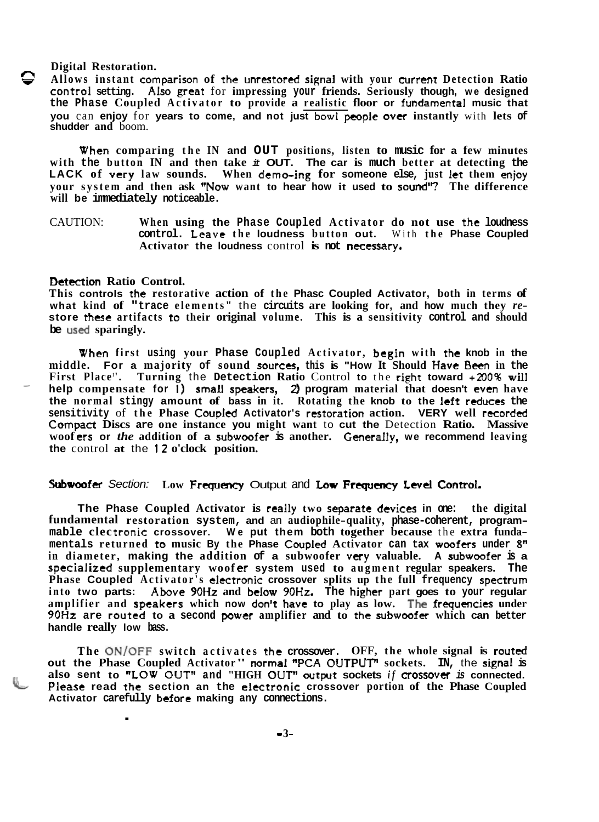#### **Digital Restoration.**

*6* **Allows instant comparison of** the **unratored signal with your currenr Detection Ratio control setting. Abo** great for **impressing your friends. Seriously though, we designed the Phase Coupled Activator to provide a realistic floor or fundamental music that you** can enjoy for years to come, and not just bowl people over instantly with lets of **shudder and** boom.

**When comparing the IN and OUT positions, listen to music for a few minutes with the button IN and then take it OUT. The car is much better at detecting the LACK of very law sounds. When demo-ing for someone else, just** let **them enjoy your system and then ask 'Wow want to hear how it used to sound'? The difference will be immediately noticeable.** 

CAUTION: **When using the Phase Coupled Activator do not use the loudness control. Leave the loudness button out.** With **the Phase Coupled**  Activator the loudness control is not necessary.

#### **Detection Ratio Control.**

**This controls the restorative action of the Phasc Coupled Activator, both in terms of**  store these artifacts to their original volume. This is a sensitivity control and should **be used sparingly.** 

**When first using your Phase Coupled Activator, begin with the knob in the middle.** For a majority of sound sources, this is "How It Should Have Been in the **First Place <sup>1</sup> '. Turning** the **Detection Ratio** Control **to** the **righr toward** +200% **wiII**  - **help compensate for 1) small speakers,** 2) **program material that doesn't even have the normal stingy amount of bass in it. Rotating the knob to the Ieft rcduccs the sensitivity** of **the Phase Coupled Activator's restoration action. VERY well recorded**  Compact **Discs are one instance you might want** to **cut the** Detection **Ratio. Massive woof trs or** *the* **addition of a subwoofer is another. Generally, we recommend leaving the** control **at** the **12 o'clock position.** 

## **Subwoofer** Section: Low Frequency Output and Low Frequency Level Control.

**The Phase Coupled Activator is really two separate devices in one: the digital fundamental restoration system, and** an **audiophile-quality, phase-coherent, programmable clec** tronic **crossover. We put them both together because** the **extra fundamentals returned to music By the Phase CoupIed Activator can tax woofers under 8" in diameter, making the addition of a subwoofer very valuable. A subwoofer is a specialized** supplementary woofer system used to augment regular speakers. The **Phase Coupled Activator's electronic crossover splits up the full frequency spectrum into two parts: Abve 90Hz and below 90Hz. The higher part goes to your regular amplifier and speakers which now don't have to play as low. The frquencies under 90Hz are routed to a second power amplifier and to** the **subwoofer which can better handle really low bass.** 

The ON/OFF switch activates the crossover. OFF, the whole signal is routed out the Phase Coupled Activator" normal "PCA OUTPUT" sockets. IN, the signal is **also sent to "LOW** OUT'' **and "HIGH OUTw output sockets** *if* **c~ossovtr is connected. Please read the section an the electronic crossover portion of the Phase Coupled** Activator carefully before making any connections.<br>
-3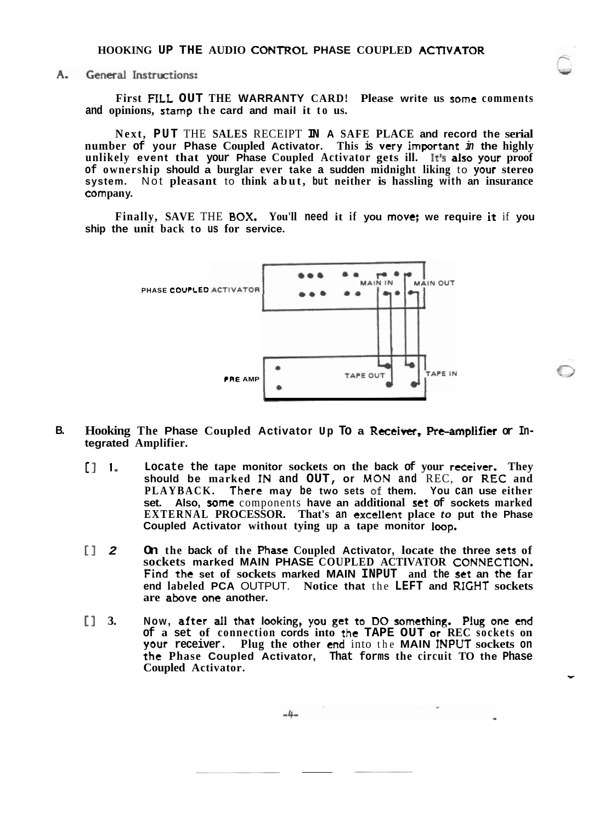$A_{-}$ General Instructions:

> **First FTLL OUT THE WARRANTY CARD! Please write us some comments and opinions, stamp the card and mail it to us.**

> **Next, PUT** THE **SALES** RECEIPT **IN A SAFE PLACE and record the serial number of your Phase Coupled Activator. This is very important in the highly unlikely event that your Phase Coupled Activator gets ill. It% also yovr proof of ownership should a burglar ever take a sudden midnight liking** to **yovr stereo system.** Not **pleasant** to **think abut, but neither is hassling with an insurance corn pan y.**

> **Finally, SAVE** THE **BOX. You'll need it if you move; we require it** if **you ship the unit back to us for service.**



- **B. Hooking The Phase Coupled Activator Up To a Rceeiuer, Re-amplifier or In- tegrated Amplifier.** 
	- [ 1 **1 Locate the tape monitor sockets on the back of your receiver. They should be marked IN and OUT, or MON and** REC, **or REG and PLAYBACK. There may be two sets of them. You can use either set. Also, some** components **have an additional set of sockets marked EXTERNAL PROCESSOR. That's an exceHent place to put the Phase Coupled Activator without tying up a tape monitor Imp.**
	- 11 **2 On the back of the Phase Coupled Activator, locate the three sets of sockets marked MAIN PHASE COUPLED ACTIVATOR** CONNECTlON. **Find** *the* **set of sockets marked MAIN INPUT and the set an the far end labeled PCA** OUTPUT. **Notice that** the **LEFT and** RIGHT **sockets are abve one another.**
	- **1** 3. Now, after all that looking, you get to DO something. Plug one end **of a set of connection cords into the TAPE OUT or REC sockets on your receiver. Plug the other end** into the **MAIN INPUT sockets on the Phase Coupled Activator, That forms the circuit TO the Phase Coupled Activator.**

$$
-4-
$$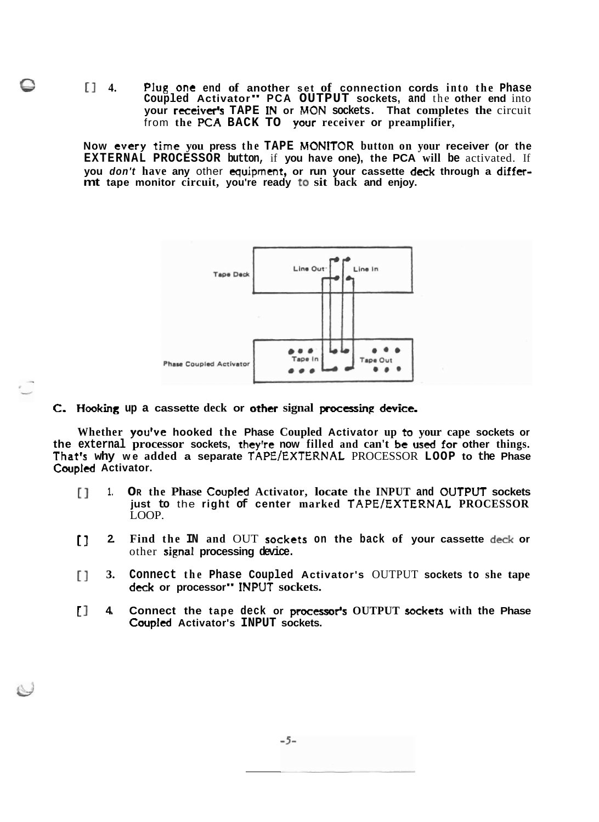e I? **4. PIup one end of another set of connection cords into the Phase Coupled Activator" PCA OUTPUT sockets, and** the **other end** into **your** receiver" **TAPE IN or MON sockets. That completes the** circuit from **the PCA BACK TO your receiver or preamplifier,** 

**Now tvery** time **you press the TAPE MONlTOR button on your receiver (or the EXTERNAL PROCESSOR button,** if **you have one), the PCA will be** activated. If **you don't have any** other **equipment, or run your cassette deck: through a differmt tape monitor circuit, you're ready to sit back and enjoy.** 



## **C. Hmking up a cassette deck or ether signal pxcssinp device.**

**Whether you've hooked the Phase Coupled Activator up to your cape sockets or the external processor sockets, they're now filled and can't be used for other things. That's why we added a separate TAPE/EXTERNAt** PROCESSOR **LOOP to the Phase Coupled Activator.** 

- **[I 1. OR the Phase Coupled Activator, locate the INPUT and OUTPUT sockets just to** the **right of center marked TAPElEXTERNAL PROCESSOR**  LOOP.
- [] **2. Find the IN and** OUT **sockets on the back of your cassette deck or**  other **signal processing device.**
- [I **3. Connect the Phase Coupled Activator's** OUTPUT **sockets to she tape dcck or processor"** INPUT **sockets.**
- **1. 4. Connect the tape deck or processor's OUTPUT sockets** with the Phase **Coupled Activator's INPUT sockets.**

 $-5-$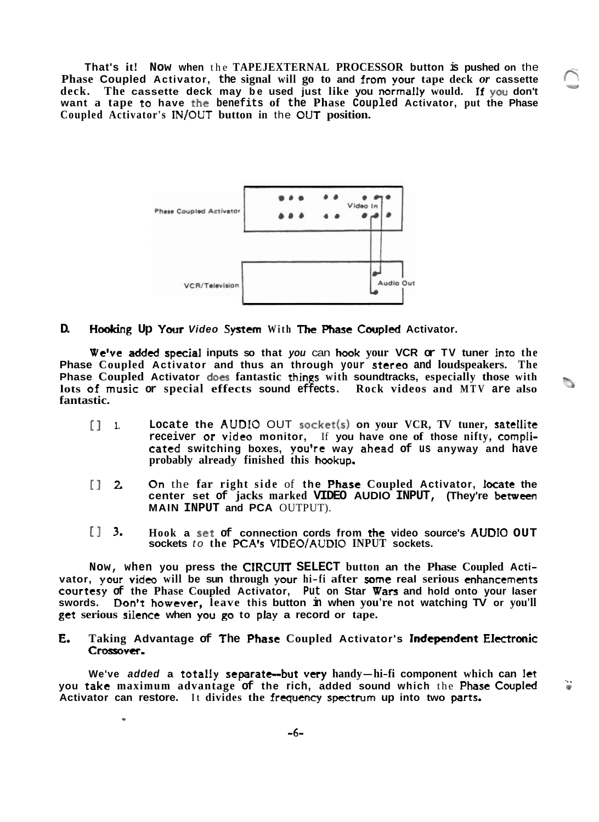**That's it! Now when** the **TAPEJEXTERNAL PROCESSOR button is pushed on** the **Phase Coupled Activator, the signal will go to and from your tape deck** *or* **cassette** 6, **deck. The cassette deck may be used just like you normally would. ff you don't want a tape** to **have the benefits of the Phase Coupled Activator, put the Phase Coupled Activator's** INJOUT **button in** the **OUT position.** 



**D. H&g Up Your Video System With Tlre Phase Cwpled Activator.** 

**We've added special inputs so that you** can **hook your VCR or TV tuner into the Phase Coupled Activator and thus an through your stereo and loudspeakers. The Phase Coupled Activator does fantastic things with soundtracks, especially those with lots** of **music or special effects sound effects. Rock videos and MTV are also** 'I, **fantastic.** 

- $\begin{bmatrix} 1 \\ 1 \end{bmatrix}$  **1. Locate the AUDIO OUT** socket(s) on your VCR, TV tuner, satellite **receiver or video monitor,** If **you have one of those nifty, cornplicared switching boxes, you're way ahead of us anyway and have probably already finished this hcsokup.**
- **(3** 2 **Qn** the **far right side** of **the Phast Coupled Activator, kcate the center set of jacks marked VIDEO AUDIO INPUT, (They're betwen MAIN INPUT and PCA** OUTPUT).
- El **3. Hook a set of connection cords from the video source's AUDIO OUT sockets** to the **PCA's** VIDEO/AUDIO INPUT sockets.

**Now, when you press the CIRCUIT SELECT button an the Phase Coupled Acti-** $\bf{v}$  ator,  $\bf{v}$  our video will be sun through your hi-fi after some real serious enhancements **courtesy of the Phase Coupled Activator, Put on Star Wars and hold onto your laser swords. Don't however, leave this button in when you're not watching TV or you'll get serious silence when you go to play a record or tape.** 

**E. Taking Advantage of f he Phast Coupled Activator's Independent EIcctrbnic**  Crossover.

We've added a totally separate--but very handy—hi-fi component which can let<br>you take maximum advantage of the rich, added sound which the Phase Coupled **Activator can restore. It divides the** frequency **spectrum up into two** *parts.* 

*-6-* 

**I**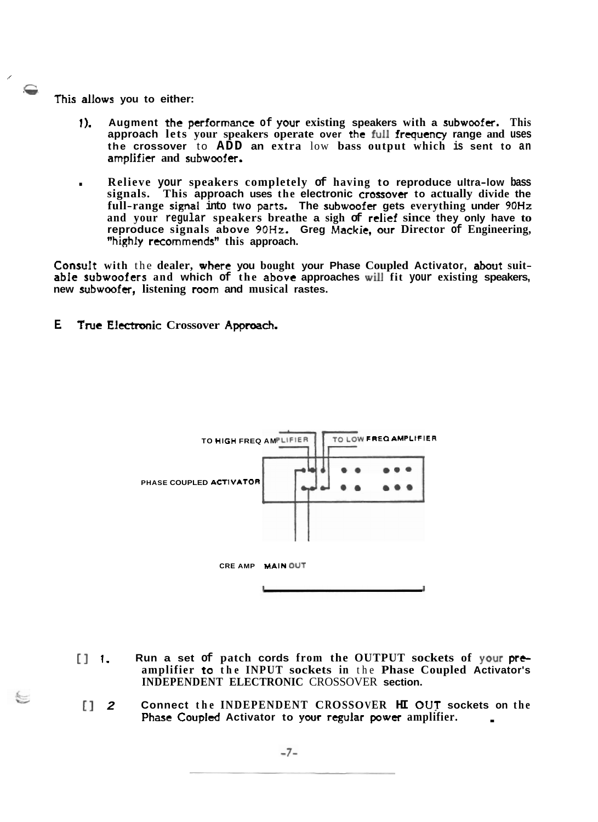**<sup>P</sup>**-- - **This allows you to either:** 

/

- **1). Augment the performance of your existing speakers with a subwoofer. This approach lets your speakers operate over** the **full** frequency **range and uses the crossover** to **ADD an extra** low **bass output which is sent to an**  amplifier and subwoofer.
- . **Relieve your speakers completely of having to reproduce ultra-low bass signals. This approach uses the electronic crossover to actually divide the full-range signal into two parts. The subwoofer gets everything under 90Hz and your regular speakers breathe a sigh of relief since they only have to reproduce signals above 90Hz. Greg Mackie, our Director of Engineering, "highly recommends'' this approach.**

**ConsuIt with** the **dealer, where you bought your Phase Coupled Activator, about suitabie subwoofers and which of the above approaches will fit your existing speakers, new subwoofer, listening room and musical rastes.** 

**E.** True Electronic Crossover Approach.



- [I **1. Run a set of patch cords from the OUTPUT sockets of your prtamplifier ta the INPUT sockets in** the **Phase Coupled Activator's INDEPENDENT ELECTRONIC** CROSSOVER **section.**
- [] **2 Connect the INDEPENDENT CROSSOVER HI OUT sockets on the Phase Coupled Activator to your regular power amplifier.**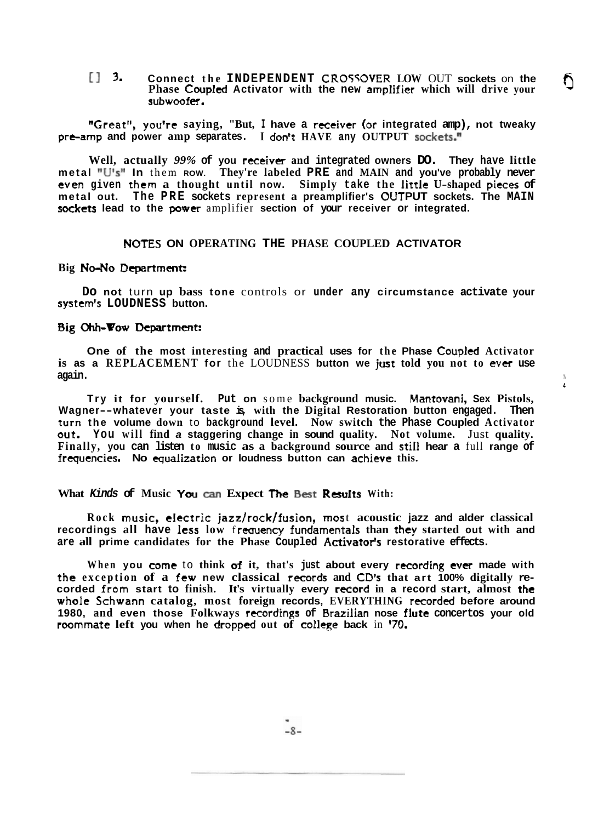13 **3. Connect the INDEPENDENT CRO5WVER LOW** OUT **sockets** on **the Phase Coupled Activator with the new amplifier which will drive your subwoof er.** 

**sj** 

**4** 

**"Great", you're saying, "But, I have a receiver (or integrated amp), not tweaky pre-amp and power amp separates. I don't HAVE any OUTPUT sockets.**"

**Well, actually** *99%* **of you** receiver **and integrated owners DO. They have little metal nU's" In** them **ROW. They're labeled PRE and MAIN and you've probably never even given them a thought until now. Simply take the** little **U-shaped pieces of metal out. The PRE sockets represent a preamplifier's** OUT **PUT sockets. The MAIN sockets lead to the power** amplifier **section of your receiver or integrated.** 

## **NOTES ON OPERATING THE PHASE COUPLED ACTIVATOR**

#### Big No-No Department:

**Do not** turn **up bass tone** controls or **under any circumstance activate your system" LOUDNESS button.** 

## **Big Ohh-Pow Department:**

**One of the most interesting and practical uses for the Phase Coupled Activator is as a REPLACEMENT for** the LOUDNESS **button we just told you not to ever use again.** 1

**Try it for yourself. Put on** some **background music. Mantovani, Sex Pistols, Wagner--whatever your taste is, with the Digital Restoration button engaged. Then**  turn **the volume down** to **background level. Now switch the Phase Coupled Activator out. You will find a staggering change in sound quality. Not volume.** Just **quality. Finally, you can listen to music as a background source and still hear a** full **range of frqutncies. No** equalization **or loudness button can achieve this.** 

### **What Kinds of Music You can Expect The Best Results With:**

**Rock music, cI** cctric **jazz/ rocklf usion, rnos** t **acoustic jazz and alder classical recordings all have less low frequency fundamentals than they started out with and are all prime candidates for the Phase Coupled Activatorlr restorative effects.** 

**When you come** to **think of it, that's just about every recording ever made with**  the exception of a few new classical records and CD's that art 100% digitally re**corded from start to finish. It's virtually every r~ord in a record start, almost the**  whole Schwann catalog, most foreign records, EVERYTHING recorded before around **1980, and even those Folkways recordings of Brazilian nose flute concertos your old roommate left you when he dropped out of college back** in *"0.*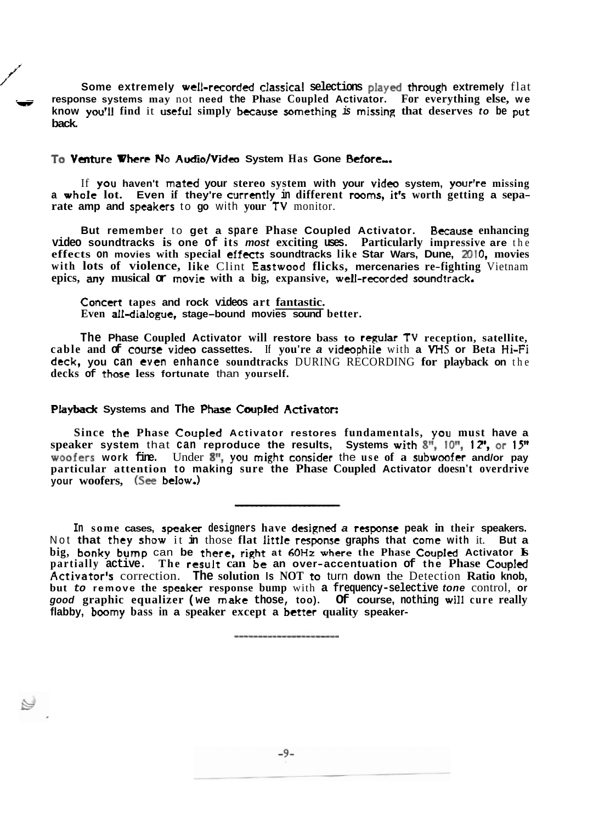Some extremely well-recorded classical selections played through extremely flat response systems may not need the Phase Coupled Activator. For everything else, we **know you'll** find it **useful** simply because something is missing that deserves to be put **back.** 

## **To Varture Where No AudlofVidca System Has Gone Stfort,.**

**J** 

/'

If **you haven't mated your stereo system with your videc system, yourlre missing <sup>a</sup>whole lot. Even if they're currently in different rooms, itFs worth getting <sup>a</sup>separate amp and speakers** to **go** with **your TV** monitor.

**But remember** to **get a spare Phase Coupled Activator. Bccausc enhancing video soundtracks is one of its most exciting uses. Particularly impressive are** the **effects on movies with special effecrs soundtracks like Star Wars, Dune, 201 0, movies with lots of violence, like** Clint **Eastweod flicks, mercenaries re-fighting** Vietnam **epics, my musical or movie with a big, expansive, wdl-record& soundtrack,** 

**Concert tapes and rock videos art fantastic. Even all-dialogue, stage-bound movies sound better.** 

**The Phase Coupled Activator will restore bass to regular TY reception, satellite, cable and**  $\sigma$  **course video cassettes.** If you're **a** videophile with **a VHS** or Beta Hi-Fi **deck, you can even enhance soundtracks** DURING RECORDING **for playback on** the **decks of those less fortunate** than **yourself.** 

#### **PIaybdc Systems and The Phase Caupled Activatot:**

**Since the Phase CoupIed Activator restores fundamentals, you must have a speaker system** that **can reproduce the results, Systems wizh Sf', !On, 1** 2', **or 15" woofers work fine.** Under  $8''$ , you might consider the use of a subwoofer and/or pay **particular attention to making sure the Phase Coupled Activator doesn't overdrive your woofers, (See bdow.)** 

In some cases, speaker designers have designed a response peak in their speakers. Not **that** they **show** it **in** those **flat** litde response **graphs that** come **with** it. **But a big, bonky bump** can **be there, right at 60Hz where the Phase Coupid Activator Is partially active.** The result can be an over-accentuation of the Phase Coupled **Acaivator's** correction. **The solution Is NOT** ro turn **down** the Detection **Ratio knob, but to remove the speaker response bump** with **a frequency-selective tone** control, **or good graphic equalizer (we make those, too). Of course, nothing will cure really flabby, boomy bass in a speaker except a betzer quality speaker-**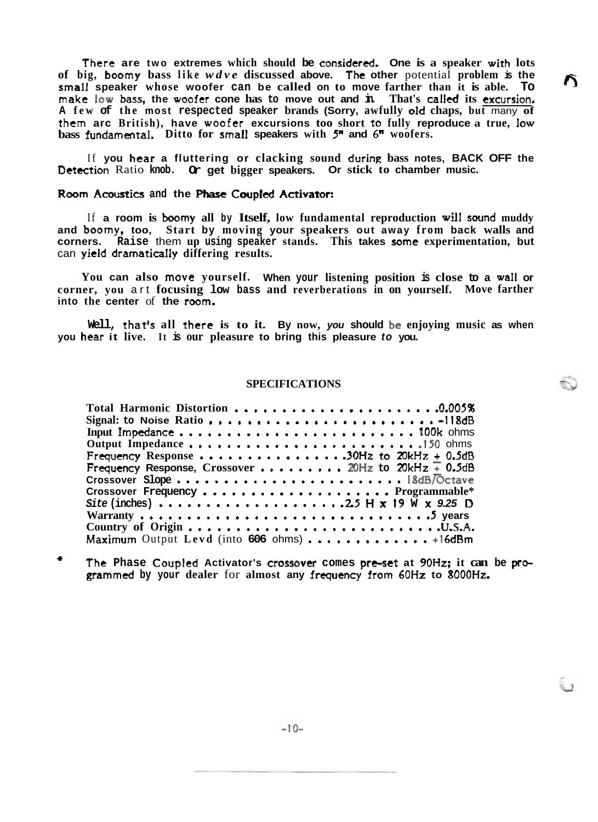There **are two extremes which should be consider&. One is a speaker wirh lots of big, boamy bass like** *wdve* **discussed above. The other** potential **problem is the small speaker whose woofer can be called on to move farther than it is able. To make low bass, the woofer cone has to move out and in. That's called its** excursion. **A few of the most respected speaker brands (Sorry, awfully old chaps, but** many **of them arc British), have woofer excursions too short to fully reproduce a true, Iow bass fundamental. Ditto for small speakers with 5" and** *6"* **woofers.** 

If **you hear a fluttering or clacking sound during bass notes, BACK OFF the**  Detection Ratio **knob. Or get bigger speakers. Or stick to chamber music.** 

## **Room Acoustics and the Phase Coupled Activator:**

If **a room is boomy all by Itself, low fundamental reproduction will swnd muddy and boomy, too, Start by moving your speakers out away from back walls and corners. Raise** them **up using speaker stands. This takes some experimentation, but**  can **yield dramatically differing results.** 

**You can also move yourself. When your listening position is close to a waI1 or corner, you** art **focusing low bass and reverberations in on yourself. Move farther into the center** of **the** room.

**Well, that's all there is to it. By now, you should be enjoying music as when you hear it live. It is our pleasure to bring this pleasure to you.** 

## **SPECIFICATIONS**

| Total Harmonic Distortion 0.005%<br>Signal: to Noise Ratio 118dB                                               |
|----------------------------------------------------------------------------------------------------------------|
| Frequency Response 30Hz to $20kHz + 0.5dB$<br>Frequency Response, Crossover 20Hz to 20kHz $\overline{+}$ 0.5dB |
| Maximum Output Levd (into 606 ohms)  +16dBm                                                                    |

\* **The Phase Coupled Activator's crossovw comes pre-set at 90Hz; it can be pr\* grarnmed by your dealer** for **almost any** frequency from *6OHr* **to 8000Hz.**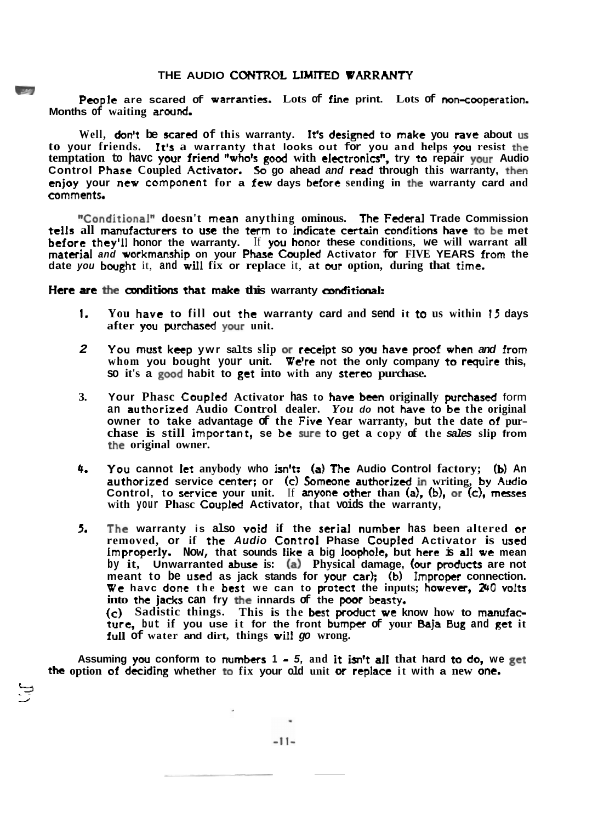People are scared of warranties. Lots of fine print. Lots of non-cooperation. **Months of waiting arand.** 

Well, **don't** be **scared** of this warranty. It's designed to make you rave about **us to your friends. It's a warranty that looks out for you and helps you resist the temptation to havc your friend "'who% god with electronicsn, try to repair your Audio Control Phase Coupled Activator. 50 go ahead and read through this warranty, then enjoy your new component for a few days before sending in the warranty card and comments,** 

"Conditional" doesn't mean anything ominous. The Federal Trade Commission **tells all manufacturers to use the term to indicate certain conditions have to be met before they'll honor the warranty.** If **you honor these conditions, we will warrant all material and workmanship on your Phasc Cwpled Activator for FIVE YEARS from the date you bought** it, and will fix or replace it, at our option, during that time.

## **Here are the conditions that make this warranty conditional:**

- **1. You have to fill out the warranty card and send it to us within 13 days after yw purchastd your unit.**
- **2 You ;must ktcp ywr salts slip or rtcelpt so you have praaf when and** from **whom you bought your unit. We're not the only company te rcquire this, so it's a good habit to get into with any stereo purchase.**
- **3. Your Phasc Coupled Activator has to havt bctn originally prchastd** form **an authorized Audio Control dealer.** *You* **do not have to bs the original owner to take advantage of the Five Year warranty, but the date of purchase is still important, se be sure to get a copy of the sales slip from the original owner.**
- **4. YOU cannot let anybody who isn?: CaS The Audio Control factory; (b) An authorized service center; or (cl Sorncone authorized in writing, by Audio Control, to service your unit.** If **anyone other than (a), Ib), or (c), messes**   $x^2 + y^2 = 0$  **Phasc Coupled Activator, that voids the warranty,**
- **5 The warranty is also void if the serial number has been altered or removed, or if the Audio Canzsol: Phase Coupled Activator is used improperjy. Now, that sounds like a big Imphale, but here is all we mean by it, Unwarranted abwc is: (a) Physical damage, (our products are not**  meant to be **used** as jack stands for your car); (b) Improper connection. **We havc done the best we can to protect the inputs; however, 230 volts**  into the **jacks** can fry the innards of the poor beasty. **(c) Sadistic things. This is the best praduct we know how to mmufacture,** but if you use it for the front bumper of your Baja Bug and get it **fuU of water and dirt, things wilI go wrong.**

**Assuming yw conform to numbers 1** - **5, and It** h't **all that hard ta do, we get the option of deciding whether <b>to** fix your old unit or replace it with a new one.

'C-r7

 $-11-$